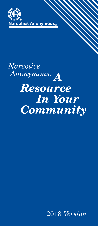

# **Narcotics** Anonymous: A **Resource In Your Community**

2018 *Version*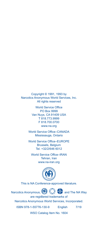Copyright © 1991, 1993 by Narcotics Anonymous World Services, Inc. All rights reserved

> World Service Office PO Box 9999 Van Nuys, CA 91409 USA T 818.773.9999 F 818.700.0700 www.na.org

World Service Office–CANADA Mississauga, Ontario

World Service Office–EUROPE Brussels, Belgium Tel. +32/2/646 6012

World Service Office–IRAN Tehran, Iran www.na-iran.org



This is NA Conference-approved literature.

Narcotics Anonymous,  $\bigoplus$   $\bigotimes$  and The NA Way are registered trademarks of Narcotics Anonymous World Services, Incorporated. ISBN 978-1-55776-130-9 English 7/19

WSO Catalog Item No. 1604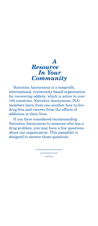

Narcotics Anonymous is a nonprofit, international, community-based organization for recovering addicts, which is active in over 144 countries. Narcotics Anonymous (NA) members learn from one another how to live drug-free and recover from the effects of addiction in their lives.

If you have considered recommending Narcotics Anonymous to someone who has a drug problem, you may have a few questions about our organization. This pamphlet is designed to answer those questions.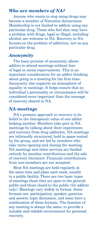## *Who are members of NA?*

Anyone who wants to stop using drugs may become a member of Narcotics Anonymous. Membership is not limited to addicts using any particular drug. Those who feel they may have a problem with drugs, legal or illegal, including alcohol, are welcome in NA. Recovery in NA focuses on the problem of addiction, not on any particular drug.

## *Anonymity*

The basic premise of anonymity allows addicts to attend meetings without fear of legal or social repercussions. This is an important consideration for an addict thinking about going to a meeting for the first time. Anonymity also supports an atmosphere of equality in meetings. It helps ensure that no individual's personality or circumstance will be considered more important than the message of recovery shared in NA.

# *NA meetings*

NA's primary approach to recovery is its belief in the therapeutic value of one addict helping another. Members take part in NA meetings by talking about their experiences and recovery from drug addiction. NA meetings are informally structured, held in space rented by the group, and are led by members who take turns opening and closing the meeting. NA meetings and other services are funded entirely by member contributions and the sale of recovery literature. Financial contributions from non-members are not accepted.

Most NA meetings are held regularly at the same time and place each week, usually in a public facility. There are two basic types of meetings those that are open to the general public and those closed to the public (for addicts only). Meetings vary widely in format. Some formats are: participation, speaker, question and answer, topic discussion, and some have a combination of these formats. The function of any meeting is always the same: to provide a suitable and reliable environment for personal recovery.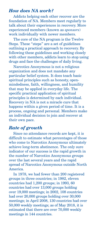# *How does NA work?*

Addicts helping each other recover are the foundation of NA. Members meet regularly to talk about their experiences in recovery. More experienced members (known as *sponsors*) work individually with newer members.

The core of the NA program is the Twelve Steps. These "steps" are a set of guidelines outlining a practical approach to recovery. By following these guidelines and working closely with other members, addicts learn to stop using drugs and face the challenges of daily living.

Narcotics Anonymous is not a religious organization and does not mandate any particular belief system. It does teach basic spiritual principles such as honesty, openmindedness, faith, willingness, and humility that may be applied in everyday life. The specific practical application of spiritual principles is determined by each individual. Recovery in NA is not a miracle cure that happens within a given period of time. It is a process, ongoing and personal. Members make an individual decision to join and recover at their own pace.

# *Rate of growth*

Since no attendance records are kept, it is difficult to estimate what percentages of those who come to Narcotics Anonymous ultimately achieve long-term abstinence. The only sure indicator of our success is the rapid growth in the number of Narcotics Anonymous groups over the last several years and the rapid spread of Narcotics Anonymous outside North America.

In 1978, we had fewer than 200 registered groups in three countries; in 1982, eleven countries had 1,200 groups; in 1993, 60 countries had over 13,000 groups holding over 19,000 meetings; in 2002, 108 countries had over 20,000 groups holding over 30,000 meetings; in April 2008, 130 countries had over 50,000 weekly meetings; as of May 2018, it is estimated that there are over 70,000 weekly meetings in 144 countries.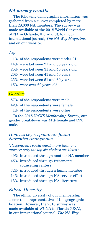#### *NA survey results*

The following demographic information was gathered from a survey completed by more than 28,000 NA members. The survey was made available at the 2018 World Convention of NA in Orlando, Florida, USA, in our international journal, *The NA Way Magazine*, and on our website:

#### *Age*

| 1% of the respondents were under 21  |
|--------------------------------------|
| 14% were between 21 and 30 years old |
| 25% were between 31 and 40 years old |
| 20% were between 41 and 50 years     |
| 25% were between 51 and 60 years     |
| 15% were over 60 years old           |

## *Gender*

- 57% of the respondents were male
- 42% of the respondents were female
	- 1% of the respondents were other

In the 2015 NAWS *Membership Survey*, our gender breakdown was 41% female and 59% male.

## *How survey respondents found Narcotics Anonymous*

*(Respondents could check more than one answer; only the top six choices are listed)*

- 49% introduced through another NA member
- 45% introduced through treatment/ counseling centers
- 32% introduced through a family member
- 14% introduced through NA service effort
- 13% introduced through NA literature

### *Ethnic Diversity*

The ethnic diversity of our membership seems to be representative of the geographic location. However, the 2018 survey was made available at WCNA in Florida (USA), in our international journal, *The NA Way*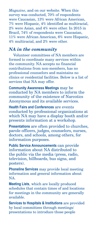*Magazine*, and on our website. When this survey was conducted, 70% of respondents were Caucasian, 13% were African American, 7% were Hispanic, 4% identified as multiracial, 2% were Asian, and 4% were other. In 2015 in Brazil, 74% of respondents were Caucasian, 11% were African American, 6% were Hispanic, 4% multiracial, and 2% were other.

# *NA in the community*

Volunteer committees of NA members are formed to coordinate many services within the community. NA accepts no financial contributions from non-members, has no professional counselors and maintains no clinics or residential facilities. Below is a list of services that NA may offer.

**Community Awareness Meetings** may be conducted by NA members to inform the community of the existence of Narcotics Anonymous and its available services.

**Health Fairs and Conferences** are events conducted by professional organizations at which NA may have a display booth and/or presents information at a workshop.

**Presentations** are often provided to churches, parole officers, judges, counselors, nurses, doctors, and schools, among others, for information purposes.

**Public Service Announcements** can provide information about NA distributed to the public via the media (press, radio, television, billboards, bus signs, and posters).

**Phoneline Services** may provide local meeting information and general information about NA.

**Meeting Lists**, which are locally produced schedules that contain times of and locations for meetings in the community are generally available.

**Services to Hospitals & Institutions** are provided by local committees through meetings/ presentations to introduce those people